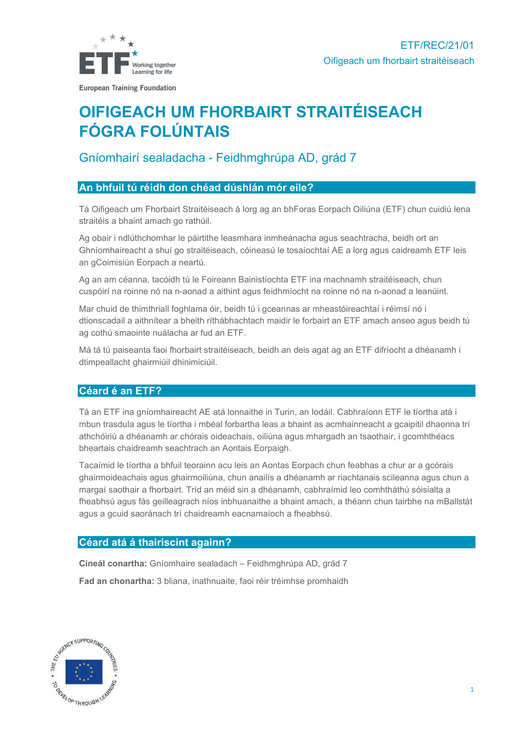

# OIFIGEACH UM FHORBAIRT STRAITÉISEACH FÓGRA FOLÚNTAIS

## Gníomhairí sealadacha - Feidhmghrúpa AD, grád 7

## An bhfuil tú réidh don chéad dúshlán mór eile?

Tá Oifigeach um Fhorbairt Straitéiseach á lorg ag an bhForas Eorpach Oiliúna (ETF) chun cuidiú lena straitéis a bhaint amach go rathúil.

Ag obair i ndlúthchomhar le páirtithe leasmhara inmheánacha agus seachtracha, beidh ort an Ghníomhaireacht a shuí go straitéiseach, cóineasú le tosaíochtaí AE a lorg agus caidreamh ETF leis an gCoimisiún Eorpach a neartú.

Ag an am céanna, tacóidh tú le Foireann Bainistíochta ETF ina machnamh straitéiseach, chun cuspóirí na roinne nó na n-aonad a aithint agus feidhmíocht na roinne nó na n-aonad a leanúint.

Mar chuid de thimthriall foghlama óir, beidh tú i gceannas ar mheastóireachtaí i réimsí nó i dtionscadail a aithnítear a bheith ríthábhachtach maidir le forbairt an ETF amach anseo agus beidh tú ag cothú smaointe nuálacha ar fud an ETF.

Má tá tú paiseanta faoi fhorbairt straitéiseach, beidh an deis agat ag an ETF difríocht a dhéanamh i dtimpeallacht ghairmiúil dhinimiciúil.

## Céard é an ETF?

Tá an ETF ina gníomhaireacht AE atá lonnaithe in Turin, an Iodáil. Cabhraíonn ETF le tíortha atá i mbun trasdula agus le tíortha i mbéal forbartha leas a bhaint as acmhainneacht a gcaipitil dhaonna trí athchóiriú a dhéanamh ar chórais oideachais, oiliúna agus mhargadh an tsaothair, i gcomhthéacs bheartais chaidreamh seachtrach an Aontais Eorpaigh.

Tacaímid le tíortha a bhfuil teorainn acu leis an Aontas Eorpach chun feabhas a chur ar a gcórais ghairmoideachais agus ghairmoiliúna, chun anailís a dhéanamh ar riachtanais scileanna agus chun a margaí saothair a fhorbairt. Tríd an méid sin a dhéanamh, cabhraímid leo comhtháthú sóisialta a fheabhsú agus fás geilleagrach níos inbhuanaithe a bhaint amach, a théann chun tairbhe na mBallstát agus a gcuid saoránach trí chaidreamh eacnamaíoch a fheabhsú.

#### Céard atá á thairiscint againn?

Cineál conartha: Gníomhaire sealadach – Feidhmghrúpa AD, grád 7

Fad an chonartha: 3 bliana, inathnuaite, faoi réir tréimhse promhaidh

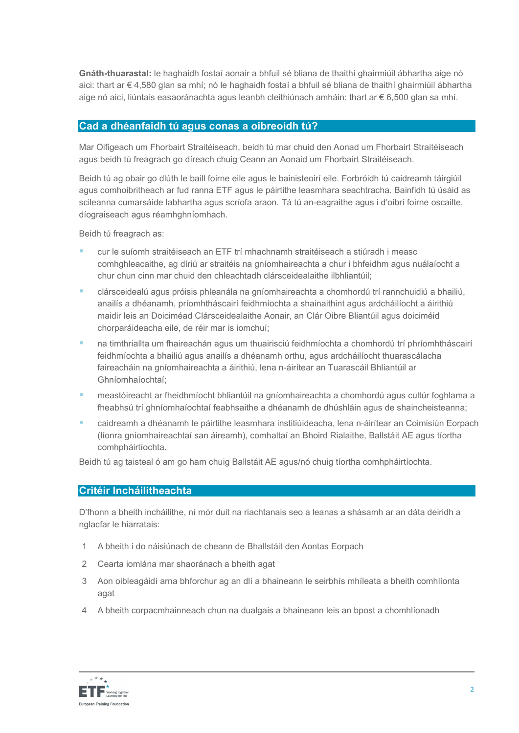Gnáth-thuarastal: le haghaidh fostaí aonair a bhfuil sé bliana de thaithí ghairmiúil ábhartha aige nó aici: thart ar € 4,580 glan sa mhí; nó le haghaidh fostaí a bhfuil sé bliana de thaithí ghairmiúil ábhartha aige nó aici, liúntais easaoránachta agus leanbh cleithiúnach amháin: thart ar € 6,500 glan sa mhí.

## Cad a dhéanfaidh tú agus conas a oibreoidh tú?

Mar Oifigeach um Fhorbairt Straitéiseach, beidh tú mar chuid den Aonad um Fhorbairt Straitéiseach agus beidh tú freagrach go díreach chuig Ceann an Aonaid um Fhorbairt Straitéiseach.

Beidh tú ag obair go dlúth le baill foirne eile agus le bainisteoirí eile. Forbróidh tú caidreamh táirgiúil agus comhoibritheach ar fud ranna ETF agus le páirtithe leasmhara seachtracha. Bainfidh tú úsáid as scileanna cumarsáide labhartha agus scríofa araon. Tá tú an-eagraithe agus i d'oibrí foirne oscailte, díograiseach agus réamhghníomhach.

Beidh tú freagrach as:

- cur le suíomh straitéiseach an ETF trí mhachnamh straitéiseach a stiúradh i measc comhghleacaithe, ag díriú ar straitéis na gníomhaireachta a chur i bhfeidhm agus nuálaíocht a chur chun cinn mar chuid den chleachtadh clársceidealaithe ilbhliantúil;
- clársceidealú agus próisis phleanála na gníomhaireachta a chomhordú trí rannchuidiú a bhailiú, anailís a dhéanamh, príomhtháscairí feidhmíochta a shainaithint agus ardcháilíocht a áirithiú maidir leis an Doiciméad Clársceidealaithe Aonair, an Clár Oibre Bliantúil agus doiciméid chorparáideacha eile, de réir mar is iomchuí;
- na timthriallta um fhaireachán agus um thuairisciú feidhmíochta a chomhordú trí phríomhtháscairí feidhmíochta a bhailiú agus anailís a dhéanamh orthu, agus ardcháilíocht thuarascálacha faireacháin na gníomhaireachta a áirithiú, lena n-áirítear an Tuarascáil Bhliantúil ar Ghníomhaíochtaí;
- meastóireacht ar fheidhmíocht bhliantúil na gníomhaireachta a chomhordú agus cultúr foghlama a fheabhsú trí ghníomhaíochtaí feabhsaithe a dhéanamh de dhúshláin agus de shaincheisteanna;
- caidreamh a dhéanamh le páirtithe leasmhara institiúideacha, lena n-áirítear an Coimisiún Eorpach (líonra gníomhaireachtaí san áireamh), comhaltaí an Bhoird Rialaithe, Ballstáit AE agus tíortha comhpháirtíochta.

Beidh tú ag taisteal ó am go ham chuig Ballstáit AE agus/nó chuig tíortha comhpháirtíochta.

#### Critéir Incháilitheachta

D'fhonn a bheith incháilithe, ní mór duit na riachtanais seo a leanas a shásamh ar an dáta deiridh a nglacfar le hiarratais:

- 1 A bheith i do náisiúnach de cheann de Bhallstáit den Aontas Eorpach
- 2 Cearta iomlána mar shaoránach a bheith agat
- 3 Aon oibleagáidí arna bhforchur ag an dlí a bhaineann le seirbhís mhíleata a bheith comhlíonta agat
- 4 A bheith corpacmhainneach chun na dualgais a bhaineann leis an bpost a chomhlíonadh

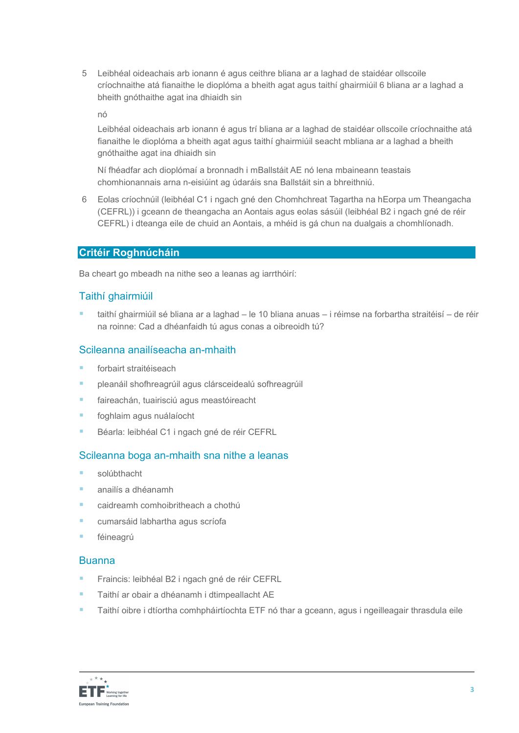5 Leibhéal oideachais arb ionann é agus ceithre bliana ar a laghad de staidéar ollscoile críochnaithe atá fianaithe le dioplóma a bheith agat agus taithí ghairmiúil 6 bliana ar a laghad a bheith gnóthaithe agat ina dhiaidh sin

nó

Leibhéal oideachais arb ionann é agus trí bliana ar a laghad de staidéar ollscoile críochnaithe atá fianaithe le dioplóma a bheith agat agus taithí ghairmiúil seacht mbliana ar a laghad a bheith gnóthaithe agat ina dhiaidh sin

Ní fhéadfar ach dioplómaí a bronnadh i mBallstáit AE nó lena mbaineann teastais chomhionannais arna n-eisiúint ag údaráis sna Ballstáit sin a bhreithniú.

6 Eolas críochnúil (leibhéal C1 i ngach gné den Chomhchreat Tagartha na hEorpa um Theangacha (CEFRL)) i gceann de theangacha an Aontais agus eolas sásúil (leibhéal B2 i ngach gné de réir CEFRL) i dteanga eile de chuid an Aontais, a mhéid is gá chun na dualgais a chomhlíonadh.

#### Critéir Roghnúcháin

Ba cheart go mbeadh na nithe seo a leanas ag iarrthóirí:

## Taithí ghairmiúil

 taithí ghairmiúil sé bliana ar a laghad – le 10 bliana anuas – i réimse na forbartha straitéisí – de réir na roinne: Cad a dhéanfaidh tú agus conas a oibreoidh tú?

## Scileanna anailíseacha an-mhaith

- **Facebook** forbairt straitéiseach
- pleanáil shofhreagrúil agus clársceidealú sofhreagrúil
- **Faireachán, tuairisciú agus meastóireacht**
- **foghlaim agus nuálaíocht**
- Béarla: leibhéal C1 i ngach gné de réir CEFRL

#### Scileanna boga an-mhaith sna nithe a leanas

- solúbthacht
- anailís a dhéanamh
- caidreamh comhoibritheach a chothú
- cumarsáid labhartha agus scríofa
- féineagrú

#### Buanna

- Fraincis: leibhéal B2 i ngach gné de réir CEFRL
- Taithí ar obair a dhéanamh i dtimpeallacht AE
- Taithí oibre i dtíortha comhpháirtíochta ETF nó thar a gceann, agus i ngeilleagair thrasdula eile

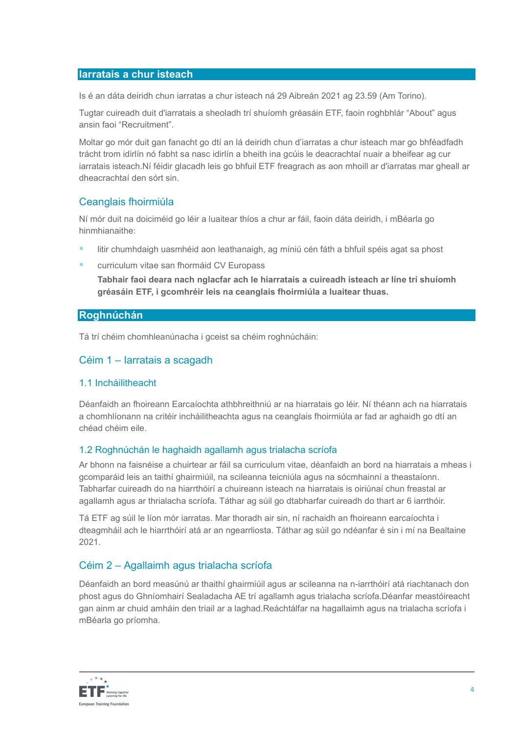#### Iarratais a chur isteach

Is é an dáta deiridh chun iarratas a chur isteach ná 29 Aibreán 2021 ag 23.59 (Am Torino).

Tugtar cuireadh duit d'iarratais a sheoladh trí shuíomh gréasáin ETF, faoin roghbhlár "About" agus ansin faoi "Recruitment".

Moltar go mór duit gan fanacht go dtí an lá deiridh chun d'iarratas a chur isteach mar go bhféadfadh trácht trom idirlín nó fabht sa nasc idirlín a bheith ina gcúis le deacrachtaí nuair a bheifear ag cur iarratais isteach.Ní féidir glacadh leis go bhfuil ETF freagrach as aon mhoill ar d'iarratas mar gheall ar dheacrachtaí den sórt sin.

## Ceanglais fhoirmiúla

Ní mór duit na doiciméid go léir a luaitear thíos a chur ar fáil, faoin dáta deiridh, i mBéarla go hinmhianaithe:

- litir chumhdaigh uasmhéid aon leathanaigh, ag míniú cén fáth a bhfuil spéis agat sa phost
- **E** curriculum vitae san fhormáid CV Europass

Tabhair faoi deara nach nglacfar ach le hiarratais a cuireadh isteach ar líne trí shuíomh gréasáin ETF, i gcomhréir leis na ceanglais fhoirmiúla a luaitear thuas.

## Roghnúchán

Tá trí chéim chomhleanúnacha i gceist sa chéim roghnúcháin:

## Céim 1 – Iarratais a scagadh

#### 1.1 Incháilitheacht

Déanfaidh an fhoireann Earcaíochta athbhreithniú ar na hiarratais go léir. Ní théann ach na hiarratais a chomhlíonann na critéir incháilitheachta agus na ceanglais fhoirmiúla ar fad ar aghaidh go dtí an chéad chéim eile.

#### 1.2 Roghnúchán le haghaidh agallamh agus trialacha scríofa

Ar bhonn na faisnéise a chuirtear ar fáil sa curriculum vitae, déanfaidh an bord na hiarratais a mheas i gcomparáid leis an taithí ghairmiúil, na scileanna teicniúla agus na sócmhainní a theastaíonn. Tabharfar cuireadh do na hiarrthóirí a chuireann isteach na hiarratais is oiriúnaí chun freastal ar agallamh agus ar thrialacha scríofa. Táthar ag súil go dtabharfar cuireadh do thart ar 6 iarrthóir.

Tá ETF ag súil le líon mór iarratas. Mar thoradh air sin, ní rachaidh an fhoireann earcaíochta i dteagmháil ach le hiarrthóirí atá ar an ngearrliosta. Táthar ag súil go ndéanfar é sin i mí na Bealtaine 2021.

## Céim 2 – Agallaimh agus trialacha scríofa

Déanfaidh an bord measúnú ar thaithí ghairmiúil agus ar scileanna na n-iarrthóirí atá riachtanach don phost agus do Ghníomhairí Sealadacha AE trí agallamh agus trialacha scríofa.Déanfar meastóireacht gan ainm ar chuid amháin den triail ar a laghad.Reáchtálfar na hagallaimh agus na trialacha scríofa i mBéarla go príomha.

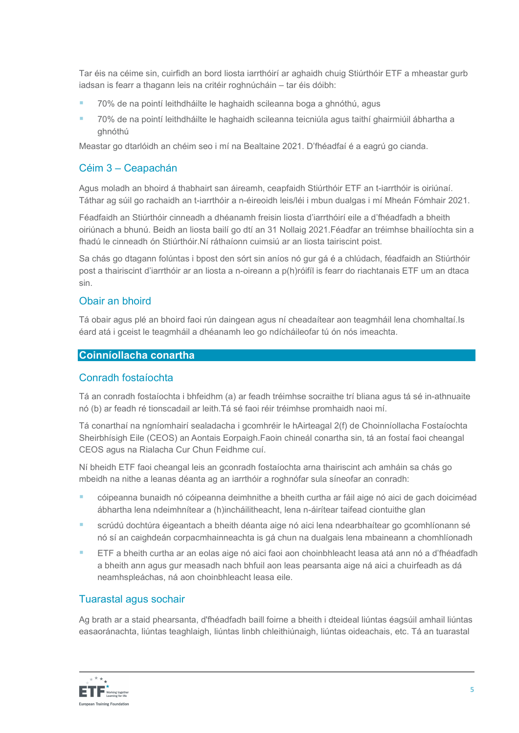Tar éis na céime sin, cuirfidh an bord liosta iarrthóirí ar aghaidh chuig Stiúrthóir ETF a mheastar gurb iadsan is fearr a thagann leis na critéir roghnúcháin – tar éis dóibh:

- **70% de na pointí leithdháilte le haghaidh scileanna boga a ghnóthú, agus**
- 70% de na pointí leithdháilte le haghaidh scileanna teicniúla agus taithí ghairmiúil ábhartha a ghnóthú

Meastar go dtarlóidh an chéim seo i mí na Bealtaine 2021. D'fhéadfaí é a eagrú go cianda.

## Céim 3 – Ceapachán

Agus moladh an bhoird á thabhairt san áireamh, ceapfaidh Stiúrthóir ETF an t-iarrthóir is oiriúnaí. Táthar ag súil go rachaidh an t-iarrthóir a n-éireoidh leis/léi i mbun dualgas i mí Mheán Fómhair 2021.

Féadfaidh an Stiúrthóir cinneadh a dhéanamh freisin liosta d'iarrthóirí eile a d'fhéadfadh a bheith oiriúnach a bhunú. Beidh an liosta bailí go dtí an 31 Nollaig 2021.Féadfar an tréimhse bhailíochta sin a fhadú le cinneadh ón Stiúrthóir.Ní ráthaíonn cuimsiú ar an liosta tairiscint poist.

Sa chás go dtagann folúntas i bpost den sórt sin aníos nó gur gá é a chlúdach, féadfaidh an Stiúrthóir post a thairiscint d'iarrthóir ar an liosta a n-oireann a p(h)róifíl is fearr do riachtanais ETF um an dtaca sin.

## Obair an bhoird

Tá obair agus plé an bhoird faoi rún daingean agus ní cheadaítear aon teagmháil lena chomhaltaí.Is éard atá i gceist le teagmháil a dhéanamh leo go ndícháileofar tú ón nós imeachta.

## Coinníollacha conartha

#### Conradh fostaíochta

Tá an conradh fostaíochta i bhfeidhm (a) ar feadh tréimhse socraithe trí bliana agus tá sé in-athnuaite nó (b) ar feadh ré tionscadail ar leith.Tá sé faoi réir tréimhse promhaidh naoi mí.

Tá conarthaí na ngníomhairí sealadacha i gcomhréir le hAirteagal 2(f) de Choinníollacha Fostaíochta Sheirbhísigh Eile (CEOS) an Aontais Eorpaigh.Faoin chineál conartha sin, tá an fostaí faoi cheangal CEOS agus na Rialacha Cur Chun Feidhme cuí.

Ní bheidh ETF faoi cheangal leis an gconradh fostaíochta arna thairiscint ach amháin sa chás go mbeidh na nithe a leanas déanta ag an iarrthóir a roghnófar sula síneofar an conradh:

- cóipeanna bunaidh nó cóipeanna deimhnithe a bheith curtha ar fáil aige nó aici de gach doiciméad ábhartha lena ndeimhnítear a (h)incháilitheacht, lena n-áirítear taifead ciontuithe glan
- scrúdú dochtúra éigeantach a bheith déanta aige nó aici lena ndearbhaítear go gcomhlíonann sé nó sí an caighdeán corpacmhainneachta is gá chun na dualgais lena mbaineann a chomhlíonadh
- ETF a bheith curtha ar an eolas aige nó aici faoi aon choinbhleacht leasa atá ann nó a d'fhéadfadh a bheith ann agus gur measadh nach bhfuil aon leas pearsanta aige ná aici a chuirfeadh as dá neamhspleáchas, ná aon choinbhleacht leasa eile.

## Tuarastal agus sochair

Ag brath ar a staid phearsanta, d'fhéadfadh baill foirne a bheith i dteideal liúntas éagsúil amhail liúntas easaoránachta, liúntas teaghlaigh, liúntas linbh chleithiúnaigh, liúntas oideachais, etc. Tá an tuarastal